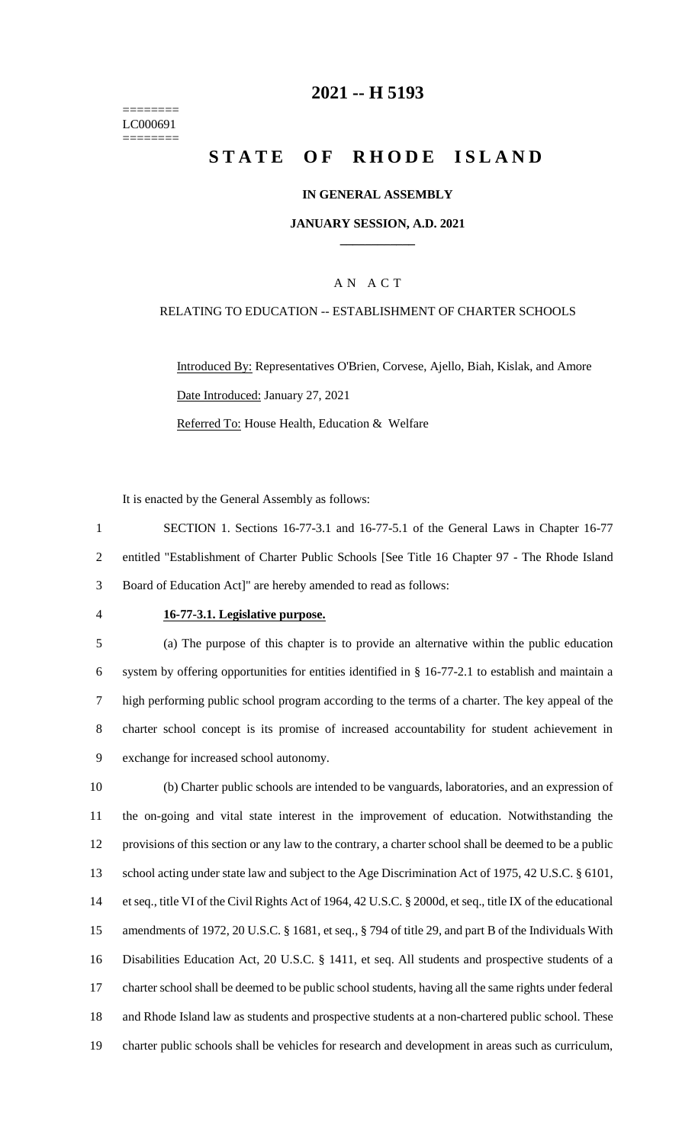======== LC000691 ========

### **-- H 5193**

# **STATE OF RHODE ISLAND**

#### **IN GENERAL ASSEMBLY**

#### **JANUARY SESSION, A.D. 2021 \_\_\_\_\_\_\_\_\_\_\_\_**

### A N A C T

#### RELATING TO EDUCATION -- ESTABLISHMENT OF CHARTER SCHOOLS

Introduced By: Representatives O'Brien, Corvese, Ajello, Biah, Kislak, and Amore Date Introduced: January 27, 2021 Referred To: House Health, Education & Welfare

It is enacted by the General Assembly as follows:

 SECTION 1. Sections 16-77-3.1 and 16-77-5.1 of the General Laws in Chapter 16-77 entitled "Establishment of Charter Public Schools [See Title 16 Chapter 97 - The Rhode Island Board of Education Act]" are hereby amended to read as follows:

#### **16-77-3.1. Legislative purpose.**

 (a) The purpose of this chapter is to provide an alternative within the public education system by offering opportunities for entities identified in § 16-77-2.1 to establish and maintain a high performing public school program according to the terms of a charter. The key appeal of the charter school concept is its promise of increased accountability for student achievement in exchange for increased school autonomy.

 (b) Charter public schools are intended to be vanguards, laboratories, and an expression of the on-going and vital state interest in the improvement of education. Notwithstanding the provisions of this section or any law to the contrary, a charter school shall be deemed to be a public school acting under state law and subject to the Age Discrimination Act of 1975, 42 U.S.C. § 6101, et seq., title VI of the Civil Rights Act of 1964, 42 U.S.C. § 2000d, et seq., title IX of the educational amendments of 1972, 20 U.S.C. § 1681, et seq., § 794 of title 29, and part B of the Individuals With Disabilities Education Act, 20 U.S.C. § 1411, et seq. All students and prospective students of a charter school shall be deemed to be public school students, having all the same rights under federal and Rhode Island law as students and prospective students at a non-chartered public school. These charter public schools shall be vehicles for research and development in areas such as curriculum,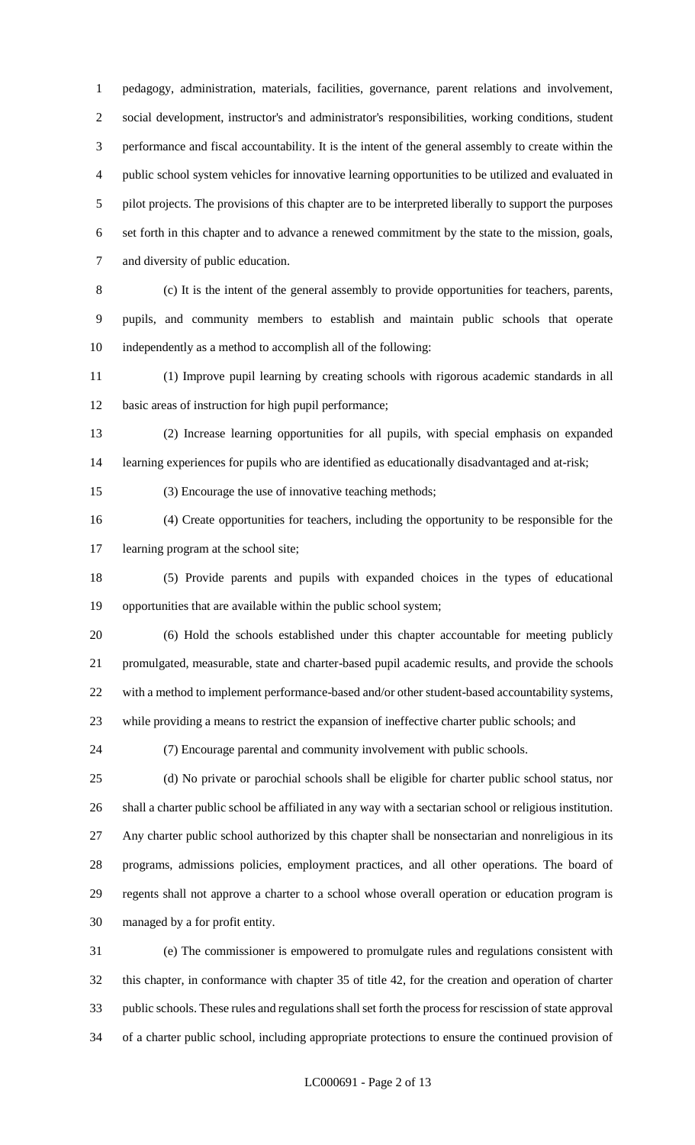pedagogy, administration, materials, facilities, governance, parent relations and involvement, social development, instructor's and administrator's responsibilities, working conditions, student performance and fiscal accountability. It is the intent of the general assembly to create within the public school system vehicles for innovative learning opportunities to be utilized and evaluated in pilot projects. The provisions of this chapter are to be interpreted liberally to support the purposes set forth in this chapter and to advance a renewed commitment by the state to the mission, goals, and diversity of public education.

 (c) It is the intent of the general assembly to provide opportunities for teachers, parents, pupils, and community members to establish and maintain public schools that operate independently as a method to accomplish all of the following:

 (1) Improve pupil learning by creating schools with rigorous academic standards in all basic areas of instruction for high pupil performance;

 (2) Increase learning opportunities for all pupils, with special emphasis on expanded learning experiences for pupils who are identified as educationally disadvantaged and at-risk;

(3) Encourage the use of innovative teaching methods;

 (4) Create opportunities for teachers, including the opportunity to be responsible for the learning program at the school site;

 (5) Provide parents and pupils with expanded choices in the types of educational opportunities that are available within the public school system;

 (6) Hold the schools established under this chapter accountable for meeting publicly promulgated, measurable, state and charter-based pupil academic results, and provide the schools with a method to implement performance-based and/or other student-based accountability systems, while providing a means to restrict the expansion of ineffective charter public schools; and

(7) Encourage parental and community involvement with public schools.

 (d) No private or parochial schools shall be eligible for charter public school status, nor shall a charter public school be affiliated in any way with a sectarian school or religious institution. Any charter public school authorized by this chapter shall be nonsectarian and nonreligious in its programs, admissions policies, employment practices, and all other operations. The board of regents shall not approve a charter to a school whose overall operation or education program is managed by a for profit entity.

 (e) The commissioner is empowered to promulgate rules and regulations consistent with this chapter, in conformance with chapter 35 of title 42, for the creation and operation of charter public schools. These rules and regulations shall set forth the process for rescission of state approval of a charter public school, including appropriate protections to ensure the continued provision of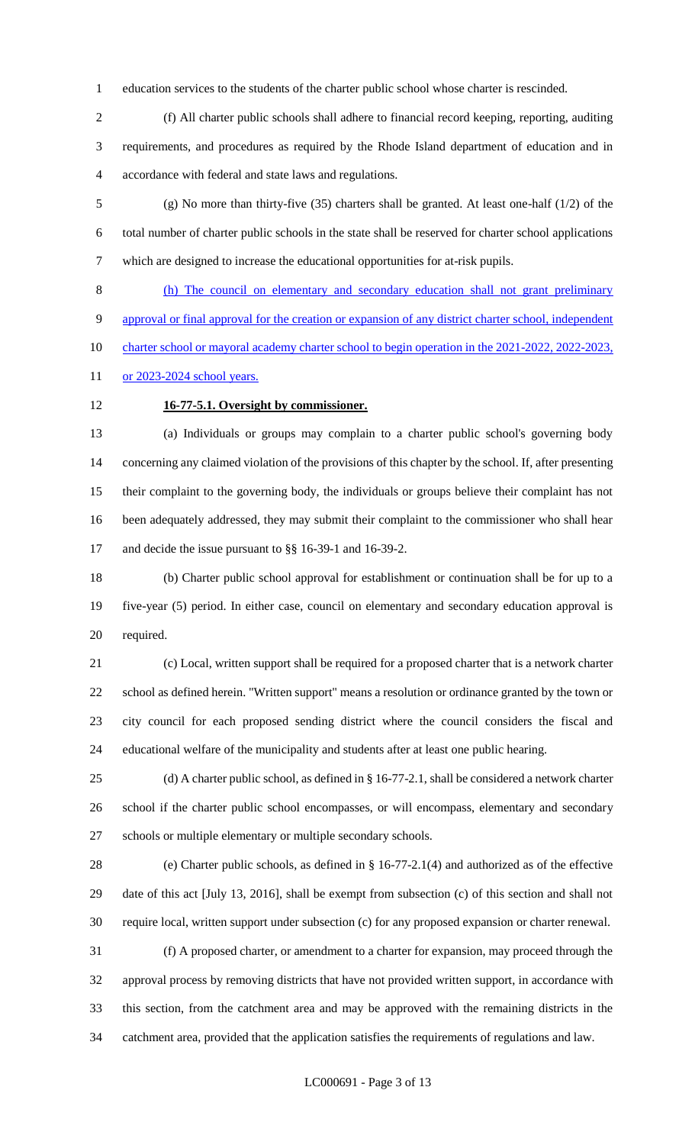education services to the students of the charter public school whose charter is rescinded.

 (f) All charter public schools shall adhere to financial record keeping, reporting, auditing requirements, and procedures as required by the Rhode Island department of education and in accordance with federal and state laws and regulations.

 (g) No more than thirty-five (35) charters shall be granted. At least one-half (1/2) of the total number of charter public schools in the state shall be reserved for charter school applications which are designed to increase the educational opportunities for at-risk pupils.

 (h) The council on elementary and secondary education shall not grant preliminary approval or final approval for the creation or expansion of any district charter school, independent 10 charter school or mayoral academy charter school to begin operation in the 2021-2022, 2022-2023, 11 or 2023-2024 school years.

## **16-77-5.1. Oversight by commissioner.**

 (a) Individuals or groups may complain to a charter public school's governing body concerning any claimed violation of the provisions of this chapter by the school. If, after presenting their complaint to the governing body, the individuals or groups believe their complaint has not been adequately addressed, they may submit their complaint to the commissioner who shall hear and decide the issue pursuant to §§ 16-39-1 and 16-39-2.

 (b) Charter public school approval for establishment or continuation shall be for up to a five-year (5) period. In either case, council on elementary and secondary education approval is required.

 (c) Local, written support shall be required for a proposed charter that is a network charter school as defined herein. "Written support" means a resolution or ordinance granted by the town or city council for each proposed sending district where the council considers the fiscal and educational welfare of the municipality and students after at least one public hearing.

 (d) A charter public school, as defined in § 16-77-2.1, shall be considered a network charter school if the charter public school encompasses, or will encompass, elementary and secondary schools or multiple elementary or multiple secondary schools.

 (e) Charter public schools, as defined in § 16-77-2.1(4) and authorized as of the effective date of this act [July 13, 2016], shall be exempt from subsection (c) of this section and shall not require local, written support under subsection (c) for any proposed expansion or charter renewal.

 (f) A proposed charter, or amendment to a charter for expansion, may proceed through the approval process by removing districts that have not provided written support, in accordance with this section, from the catchment area and may be approved with the remaining districts in the catchment area, provided that the application satisfies the requirements of regulations and law.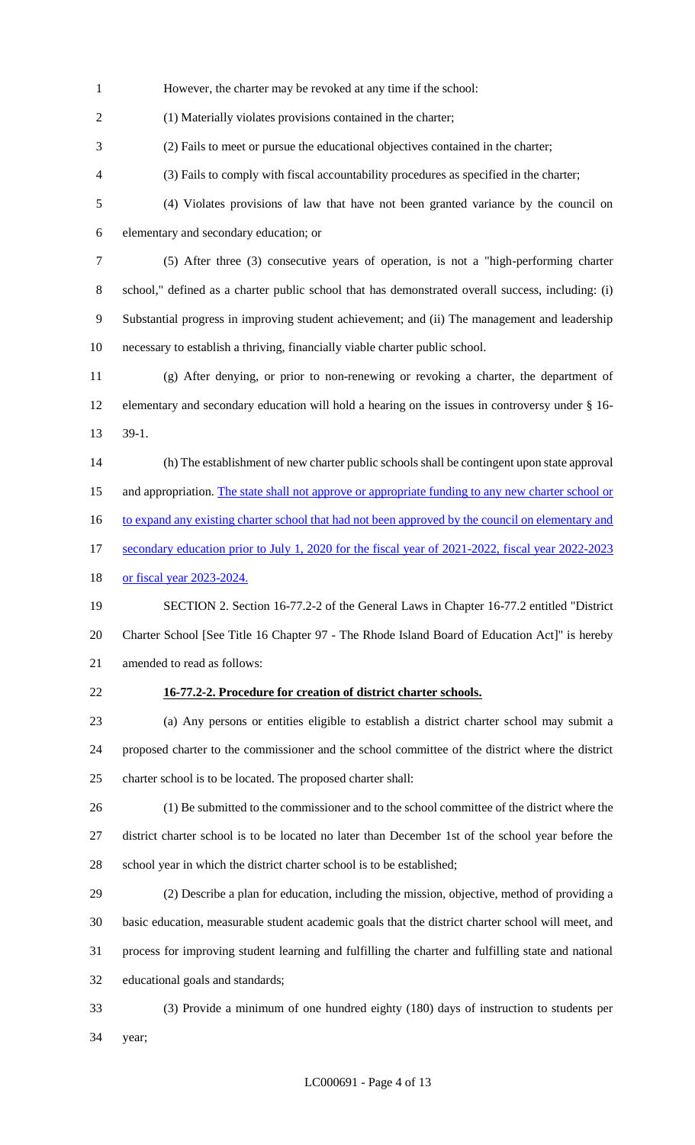However, the charter may be revoked at any time if the school:

(1) Materially violates provisions contained in the charter;

(2) Fails to meet or pursue the educational objectives contained in the charter;

(3) Fails to comply with fiscal accountability procedures as specified in the charter;

 (4) Violates provisions of law that have not been granted variance by the council on elementary and secondary education; or

 (5) After three (3) consecutive years of operation, is not a "high-performing charter school," defined as a charter public school that has demonstrated overall success, including: (i) Substantial progress in improving student achievement; and (ii) The management and leadership necessary to establish a thriving, financially viable charter public school.

 (g) After denying, or prior to non-renewing or revoking a charter, the department of elementary and secondary education will hold a hearing on the issues in controversy under § 16- 39-1.

(h) The establishment of new charter public schools shall be contingent upon state approval

15 and appropriation. The state shall not approve or appropriate funding to any new charter school or

16 to expand any existing charter school that had not been approved by the council on elementary and

17 secondary education prior to July 1, 2020 for the fiscal year of 2021-2022, fiscal year 2022-2023

18 or fiscal year 2023-2024.

 SECTION 2. Section 16-77.2-2 of the General Laws in Chapter 16-77.2 entitled "District 20 Charter School [See Title 16 Chapter 97 - The Rhode Island Board of Education Act]" is hereby amended to read as follows:

### **16-77.2-2. Procedure for creation of district charter schools.**

 (a) Any persons or entities eligible to establish a district charter school may submit a proposed charter to the commissioner and the school committee of the district where the district charter school is to be located. The proposed charter shall:

 (1) Be submitted to the commissioner and to the school committee of the district where the district charter school is to be located no later than December 1st of the school year before the school year in which the district charter school is to be established;

 (2) Describe a plan for education, including the mission, objective, method of providing a basic education, measurable student academic goals that the district charter school will meet, and process for improving student learning and fulfilling the charter and fulfilling state and national educational goals and standards;

 (3) Provide a minimum of one hundred eighty (180) days of instruction to students per year;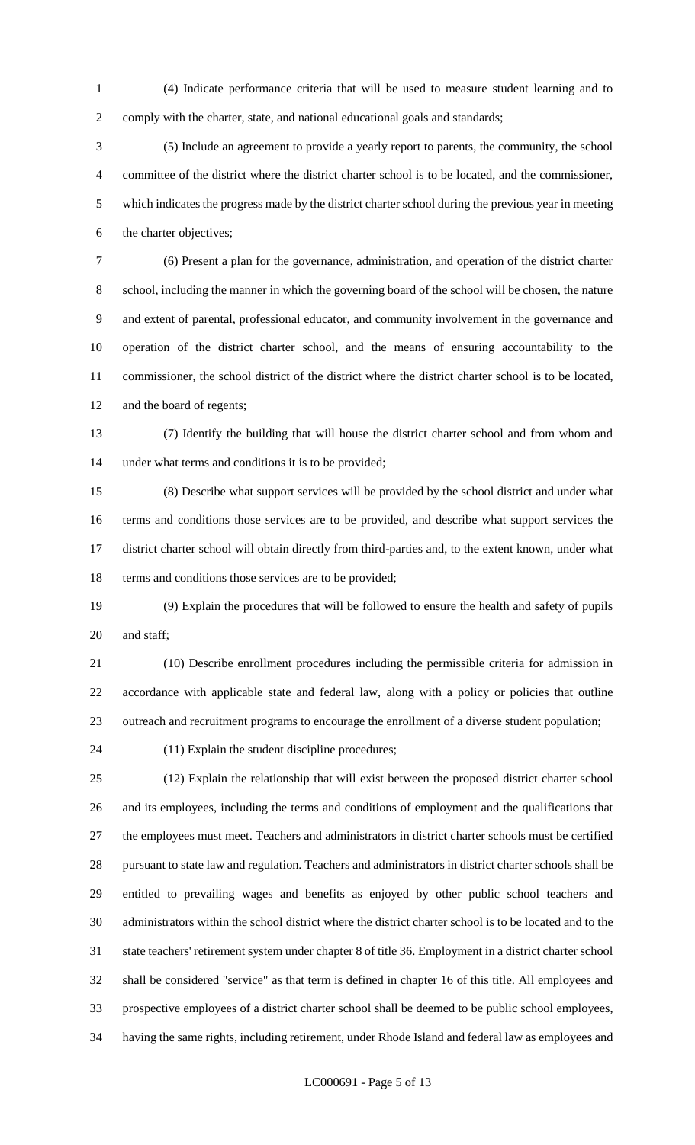(4) Indicate performance criteria that will be used to measure student learning and to comply with the charter, state, and national educational goals and standards;

 (5) Include an agreement to provide a yearly report to parents, the community, the school committee of the district where the district charter school is to be located, and the commissioner, which indicates the progress made by the district charter school during the previous year in meeting the charter objectives;

 (6) Present a plan for the governance, administration, and operation of the district charter school, including the manner in which the governing board of the school will be chosen, the nature and extent of parental, professional educator, and community involvement in the governance and operation of the district charter school, and the means of ensuring accountability to the commissioner, the school district of the district where the district charter school is to be located, and the board of regents;

 (7) Identify the building that will house the district charter school and from whom and under what terms and conditions it is to be provided;

 (8) Describe what support services will be provided by the school district and under what terms and conditions those services are to be provided, and describe what support services the district charter school will obtain directly from third-parties and, to the extent known, under what terms and conditions those services are to be provided;

 (9) Explain the procedures that will be followed to ensure the health and safety of pupils and staff;

 (10) Describe enrollment procedures including the permissible criteria for admission in accordance with applicable state and federal law, along with a policy or policies that outline outreach and recruitment programs to encourage the enrollment of a diverse student population;

(11) Explain the student discipline procedures;

 (12) Explain the relationship that will exist between the proposed district charter school and its employees, including the terms and conditions of employment and the qualifications that the employees must meet. Teachers and administrators in district charter schools must be certified pursuant to state law and regulation. Teachers and administrators in district charter schools shall be entitled to prevailing wages and benefits as enjoyed by other public school teachers and administrators within the school district where the district charter school is to be located and to the state teachers' retirement system under chapter 8 of title 36. Employment in a district charter school shall be considered "service" as that term is defined in chapter 16 of this title. All employees and prospective employees of a district charter school shall be deemed to be public school employees, having the same rights, including retirement, under Rhode Island and federal law as employees and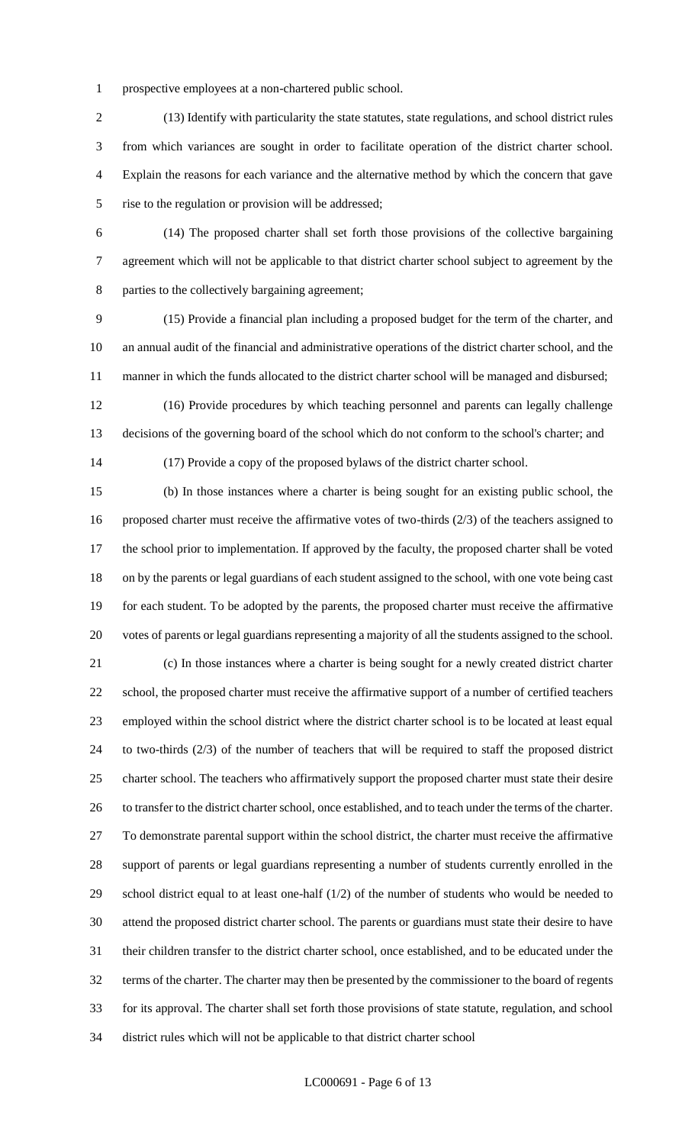prospective employees at a non-chartered public school.

 (13) Identify with particularity the state statutes, state regulations, and school district rules from which variances are sought in order to facilitate operation of the district charter school. Explain the reasons for each variance and the alternative method by which the concern that gave rise to the regulation or provision will be addressed;

 (14) The proposed charter shall set forth those provisions of the collective bargaining agreement which will not be applicable to that district charter school subject to agreement by the parties to the collectively bargaining agreement;

 (15) Provide a financial plan including a proposed budget for the term of the charter, and an annual audit of the financial and administrative operations of the district charter school, and the manner in which the funds allocated to the district charter school will be managed and disbursed;

 (16) Provide procedures by which teaching personnel and parents can legally challenge decisions of the governing board of the school which do not conform to the school's charter; and

(17) Provide a copy of the proposed bylaws of the district charter school.

 (b) In those instances where a charter is being sought for an existing public school, the proposed charter must receive the affirmative votes of two-thirds (2/3) of the teachers assigned to the school prior to implementation. If approved by the faculty, the proposed charter shall be voted on by the parents or legal guardians of each student assigned to the school, with one vote being cast for each student. To be adopted by the parents, the proposed charter must receive the affirmative votes of parents or legal guardians representing a majority of all the students assigned to the school.

 (c) In those instances where a charter is being sought for a newly created district charter school, the proposed charter must receive the affirmative support of a number of certified teachers employed within the school district where the district charter school is to be located at least equal to two-thirds (2/3) of the number of teachers that will be required to staff the proposed district charter school. The teachers who affirmatively support the proposed charter must state their desire to transfer to the district charter school, once established, and to teach under the terms of the charter. To demonstrate parental support within the school district, the charter must receive the affirmative support of parents or legal guardians representing a number of students currently enrolled in the school district equal to at least one-half (1/2) of the number of students who would be needed to attend the proposed district charter school. The parents or guardians must state their desire to have their children transfer to the district charter school, once established, and to be educated under the terms of the charter. The charter may then be presented by the commissioner to the board of regents for its approval. The charter shall set forth those provisions of state statute, regulation, and school district rules which will not be applicable to that district charter school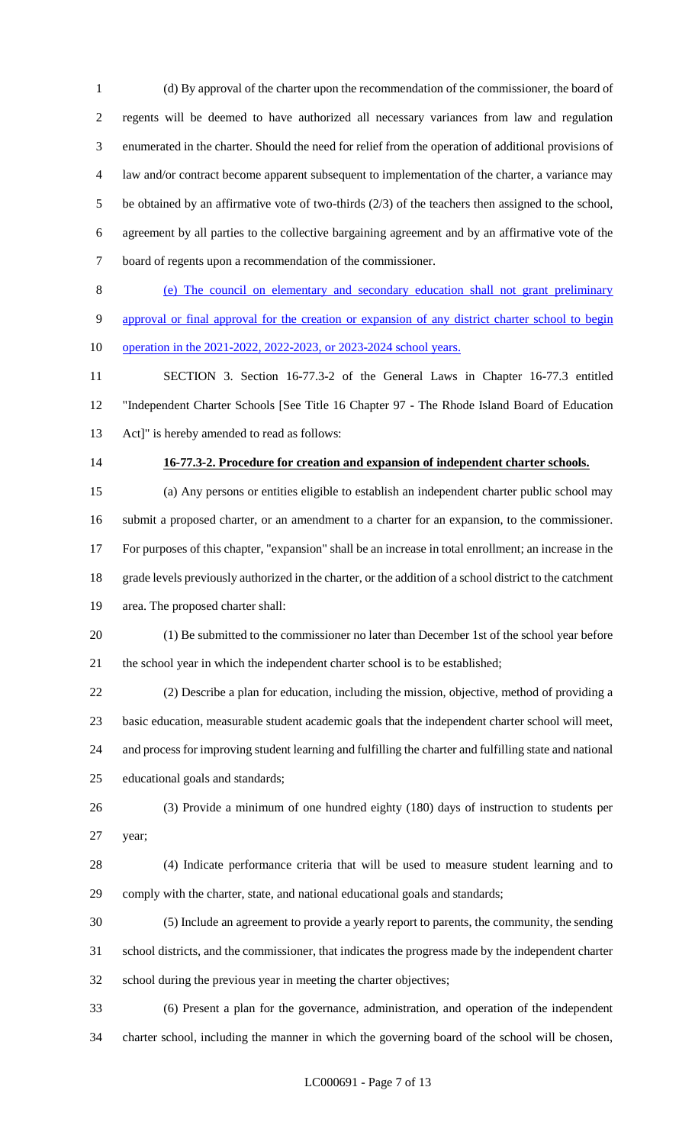(d) By approval of the charter upon the recommendation of the commissioner, the board of regents will be deemed to have authorized all necessary variances from law and regulation enumerated in the charter. Should the need for relief from the operation of additional provisions of law and/or contract become apparent subsequent to implementation of the charter, a variance may be obtained by an affirmative vote of two-thirds (2/3) of the teachers then assigned to the school, agreement by all parties to the collective bargaining agreement and by an affirmative vote of the board of regents upon a recommendation of the commissioner.

 (e) The council on elementary and secondary education shall not grant preliminary approval or final approval for the creation or expansion of any district charter school to begin operation in the 2021-2022, 2022-2023, or 2023-2024 school years.

 SECTION 3. Section 16-77.3-2 of the General Laws in Chapter 16-77.3 entitled "Independent Charter Schools [See Title 16 Chapter 97 - The Rhode Island Board of Education Act]" is hereby amended to read as follows:

#### **16-77.3-2. Procedure for creation and expansion of independent charter schools.**

 (a) Any persons or entities eligible to establish an independent charter public school may submit a proposed charter, or an amendment to a charter for an expansion, to the commissioner. For purposes of this chapter, "expansion" shall be an increase in total enrollment; an increase in the grade levels previously authorized in the charter, or the addition of a school district to the catchment area. The proposed charter shall:

 (1) Be submitted to the commissioner no later than December 1st of the school year before 21 the school year in which the independent charter school is to be established;

 (2) Describe a plan for education, including the mission, objective, method of providing a basic education, measurable student academic goals that the independent charter school will meet, and process for improving student learning and fulfilling the charter and fulfilling state and national educational goals and standards;

 (3) Provide a minimum of one hundred eighty (180) days of instruction to students per year;

 (4) Indicate performance criteria that will be used to measure student learning and to comply with the charter, state, and national educational goals and standards;

 (5) Include an agreement to provide a yearly report to parents, the community, the sending school districts, and the commissioner, that indicates the progress made by the independent charter school during the previous year in meeting the charter objectives;

 (6) Present a plan for the governance, administration, and operation of the independent charter school, including the manner in which the governing board of the school will be chosen,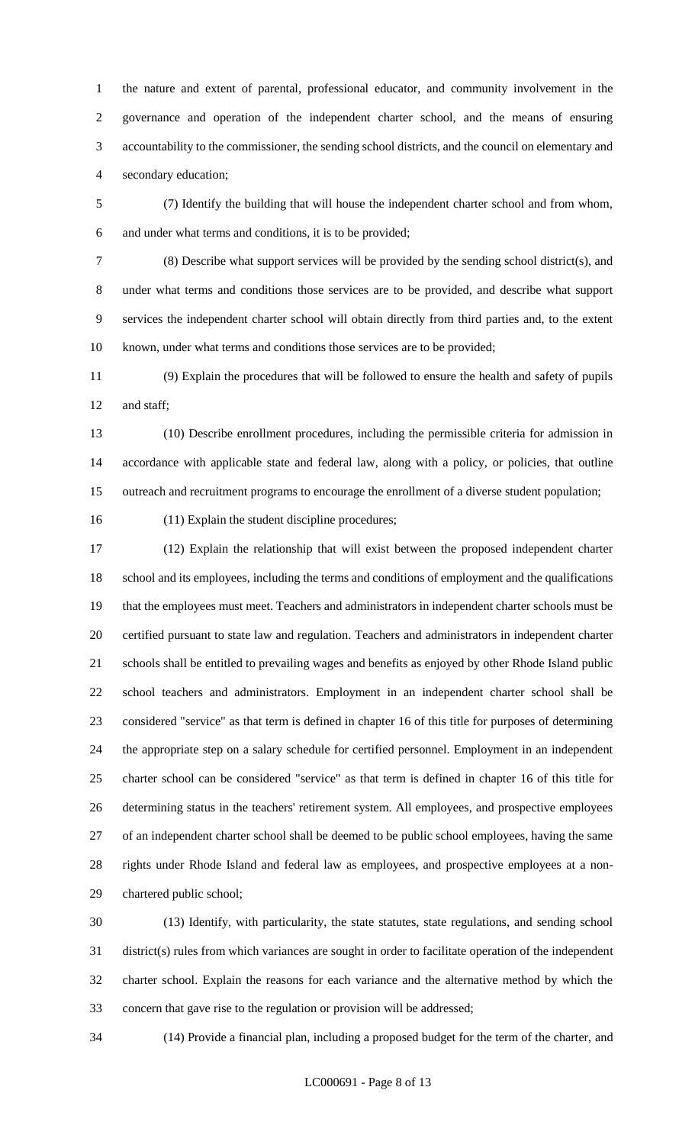the nature and extent of parental, professional educator, and community involvement in the governance and operation of the independent charter school, and the means of ensuring accountability to the commissioner, the sending school districts, and the council on elementary and secondary education;

 (7) Identify the building that will house the independent charter school and from whom, and under what terms and conditions, it is to be provided;

 (8) Describe what support services will be provided by the sending school district(s), and under what terms and conditions those services are to be provided, and describe what support services the independent charter school will obtain directly from third parties and, to the extent known, under what terms and conditions those services are to be provided;

 (9) Explain the procedures that will be followed to ensure the health and safety of pupils and staff;

 (10) Describe enrollment procedures, including the permissible criteria for admission in accordance with applicable state and federal law, along with a policy, or policies, that outline outreach and recruitment programs to encourage the enrollment of a diverse student population;

(11) Explain the student discipline procedures;

 (12) Explain the relationship that will exist between the proposed independent charter school and its employees, including the terms and conditions of employment and the qualifications that the employees must meet. Teachers and administrators in independent charter schools must be certified pursuant to state law and regulation. Teachers and administrators in independent charter schools shall be entitled to prevailing wages and benefits as enjoyed by other Rhode Island public school teachers and administrators. Employment in an independent charter school shall be considered "service" as that term is defined in chapter 16 of this title for purposes of determining the appropriate step on a salary schedule for certified personnel. Employment in an independent charter school can be considered "service" as that term is defined in chapter 16 of this title for determining status in the teachers' retirement system. All employees, and prospective employees of an independent charter school shall be deemed to be public school employees, having the same rights under Rhode Island and federal law as employees, and prospective employees at a non-chartered public school;

 (13) Identify, with particularity, the state statutes, state regulations, and sending school district(s) rules from which variances are sought in order to facilitate operation of the independent charter school. Explain the reasons for each variance and the alternative method by which the concern that gave rise to the regulation or provision will be addressed;

(14) Provide a financial plan, including a proposed budget for the term of the charter, and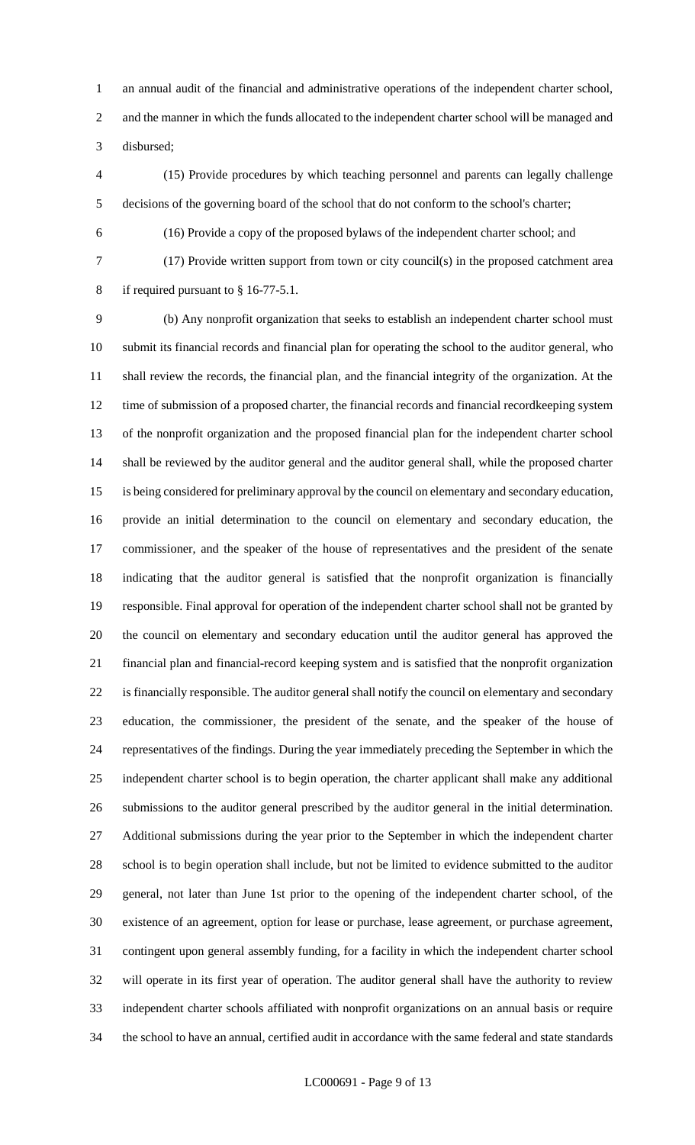an annual audit of the financial and administrative operations of the independent charter school, and the manner in which the funds allocated to the independent charter school will be managed and disbursed;

 (15) Provide procedures by which teaching personnel and parents can legally challenge decisions of the governing board of the school that do not conform to the school's charter;

(16) Provide a copy of the proposed bylaws of the independent charter school; and

 (17) Provide written support from town or city council(s) in the proposed catchment area if required pursuant to § 16-77-5.1.

 (b) Any nonprofit organization that seeks to establish an independent charter school must submit its financial records and financial plan for operating the school to the auditor general, who shall review the records, the financial plan, and the financial integrity of the organization. At the time of submission of a proposed charter, the financial records and financial recordkeeping system of the nonprofit organization and the proposed financial plan for the independent charter school shall be reviewed by the auditor general and the auditor general shall, while the proposed charter is being considered for preliminary approval by the council on elementary and secondary education, provide an initial determination to the council on elementary and secondary education, the commissioner, and the speaker of the house of representatives and the president of the senate indicating that the auditor general is satisfied that the nonprofit organization is financially responsible. Final approval for operation of the independent charter school shall not be granted by the council on elementary and secondary education until the auditor general has approved the financial plan and financial-record keeping system and is satisfied that the nonprofit organization is financially responsible. The auditor general shall notify the council on elementary and secondary education, the commissioner, the president of the senate, and the speaker of the house of representatives of the findings. During the year immediately preceding the September in which the independent charter school is to begin operation, the charter applicant shall make any additional submissions to the auditor general prescribed by the auditor general in the initial determination. Additional submissions during the year prior to the September in which the independent charter school is to begin operation shall include, but not be limited to evidence submitted to the auditor general, not later than June 1st prior to the opening of the independent charter school, of the existence of an agreement, option for lease or purchase, lease agreement, or purchase agreement, contingent upon general assembly funding, for a facility in which the independent charter school will operate in its first year of operation. The auditor general shall have the authority to review independent charter schools affiliated with nonprofit organizations on an annual basis or require the school to have an annual, certified audit in accordance with the same federal and state standards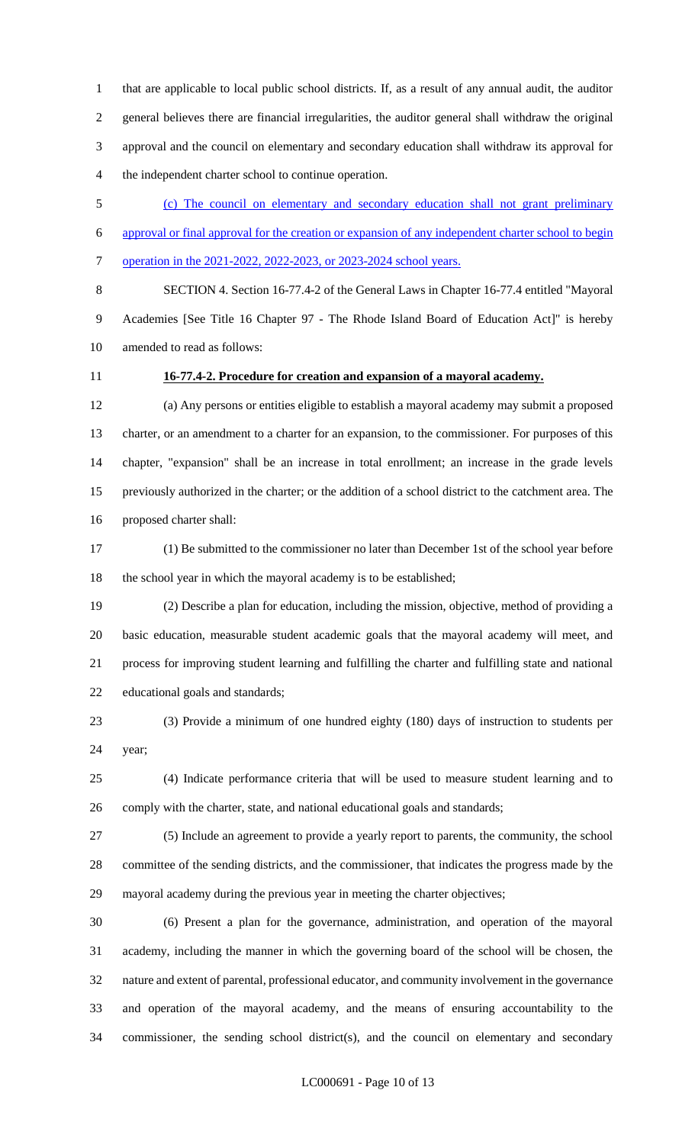that are applicable to local public school districts. If, as a result of any annual audit, the auditor general believes there are financial irregularities, the auditor general shall withdraw the original approval and the council on elementary and secondary education shall withdraw its approval for the independent charter school to continue operation.

 (c) The council on elementary and secondary education shall not grant preliminary approval or final approval for the creation or expansion of any independent charter school to begin operation in the 2021-2022, 2022-2023, or 2023-2024 school years.

 SECTION 4. Section 16-77.4-2 of the General Laws in Chapter 16-77.4 entitled "Mayoral Academies [See Title 16 Chapter 97 - The Rhode Island Board of Education Act]" is hereby amended to read as follows:

## **16-77.4-2. Procedure for creation and expansion of a mayoral academy.**

 (a) Any persons or entities eligible to establish a mayoral academy may submit a proposed charter, or an amendment to a charter for an expansion, to the commissioner. For purposes of this chapter, "expansion" shall be an increase in total enrollment; an increase in the grade levels previously authorized in the charter; or the addition of a school district to the catchment area. The proposed charter shall:

 (1) Be submitted to the commissioner no later than December 1st of the school year before the school year in which the mayoral academy is to be established;

 (2) Describe a plan for education, including the mission, objective, method of providing a basic education, measurable student academic goals that the mayoral academy will meet, and process for improving student learning and fulfilling the charter and fulfilling state and national educational goals and standards;

 (3) Provide a minimum of one hundred eighty (180) days of instruction to students per year;

 (4) Indicate performance criteria that will be used to measure student learning and to comply with the charter, state, and national educational goals and standards;

 (5) Include an agreement to provide a yearly report to parents, the community, the school committee of the sending districts, and the commissioner, that indicates the progress made by the mayoral academy during the previous year in meeting the charter objectives;

 (6) Present a plan for the governance, administration, and operation of the mayoral academy, including the manner in which the governing board of the school will be chosen, the nature and extent of parental, professional educator, and community involvement in the governance and operation of the mayoral academy, and the means of ensuring accountability to the commissioner, the sending school district(s), and the council on elementary and secondary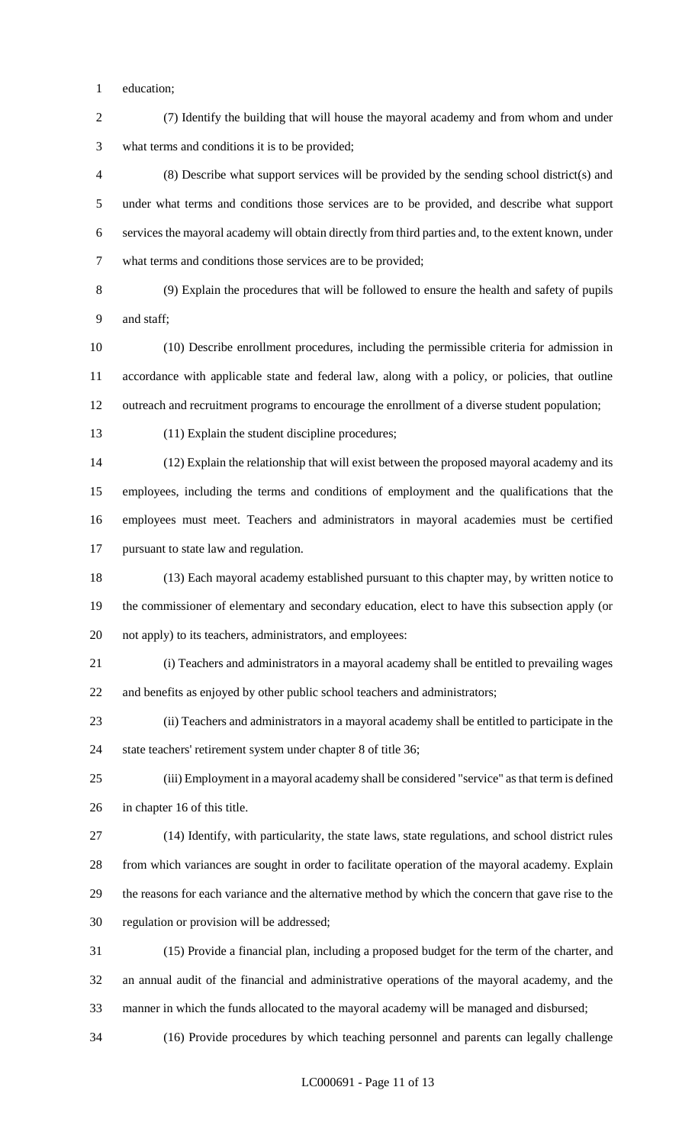education;

 (7) Identify the building that will house the mayoral academy and from whom and under what terms and conditions it is to be provided;

 (8) Describe what support services will be provided by the sending school district(s) and under what terms and conditions those services are to be provided, and describe what support services the mayoral academy will obtain directly from third parties and, to the extent known, under what terms and conditions those services are to be provided;

 (9) Explain the procedures that will be followed to ensure the health and safety of pupils and staff;

 (10) Describe enrollment procedures, including the permissible criteria for admission in accordance with applicable state and federal law, along with a policy, or policies, that outline outreach and recruitment programs to encourage the enrollment of a diverse student population;

(11) Explain the student discipline procedures;

 (12) Explain the relationship that will exist between the proposed mayoral academy and its employees, including the terms and conditions of employment and the qualifications that the employees must meet. Teachers and administrators in mayoral academies must be certified pursuant to state law and regulation.

 (13) Each mayoral academy established pursuant to this chapter may, by written notice to the commissioner of elementary and secondary education, elect to have this subsection apply (or not apply) to its teachers, administrators, and employees:

 (i) Teachers and administrators in a mayoral academy shall be entitled to prevailing wages and benefits as enjoyed by other public school teachers and administrators;

 (ii) Teachers and administrators in a mayoral academy shall be entitled to participate in the state teachers' retirement system under chapter 8 of title 36;

 (iii) Employment in a mayoral academy shall be considered "service" as that term is defined in chapter 16 of this title.

 (14) Identify, with particularity, the state laws, state regulations, and school district rules from which variances are sought in order to facilitate operation of the mayoral academy. Explain the reasons for each variance and the alternative method by which the concern that gave rise to the regulation or provision will be addressed;

 (15) Provide a financial plan, including a proposed budget for the term of the charter, and an annual audit of the financial and administrative operations of the mayoral academy, and the manner in which the funds allocated to the mayoral academy will be managed and disbursed;

(16) Provide procedures by which teaching personnel and parents can legally challenge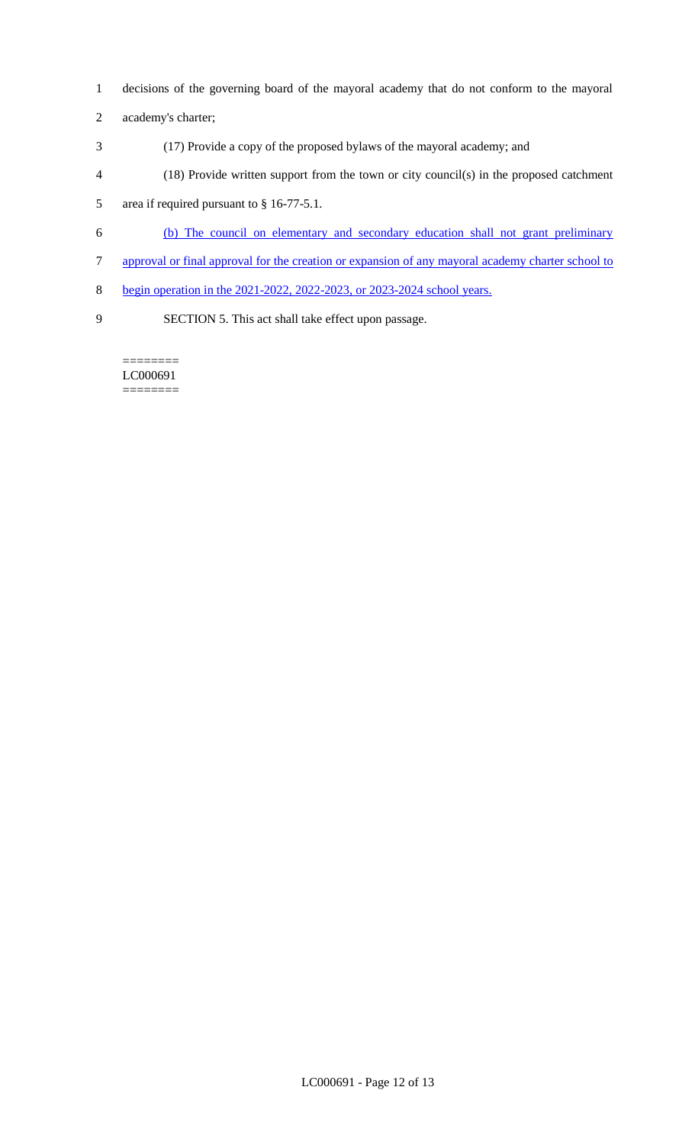- 1 decisions of the governing board of the mayoral academy that do not conform to the mayoral
- 2 academy's charter;
- 3 (17) Provide a copy of the proposed bylaws of the mayoral academy; and
- 4 (18) Provide written support from the town or city council(s) in the proposed catchment
- 5 area if required pursuant to § 16-77-5.1.
- 6 (b) The council on elementary and secondary education shall not grant preliminary
- 7 approval or final approval for the creation or expansion of any mayoral academy charter school to
- 8 begin operation in the 2021-2022, 2022-2023, or 2023-2024 school years.
- 

9 SECTION 5. This act shall take effect upon passage.

LC000691 ========

========